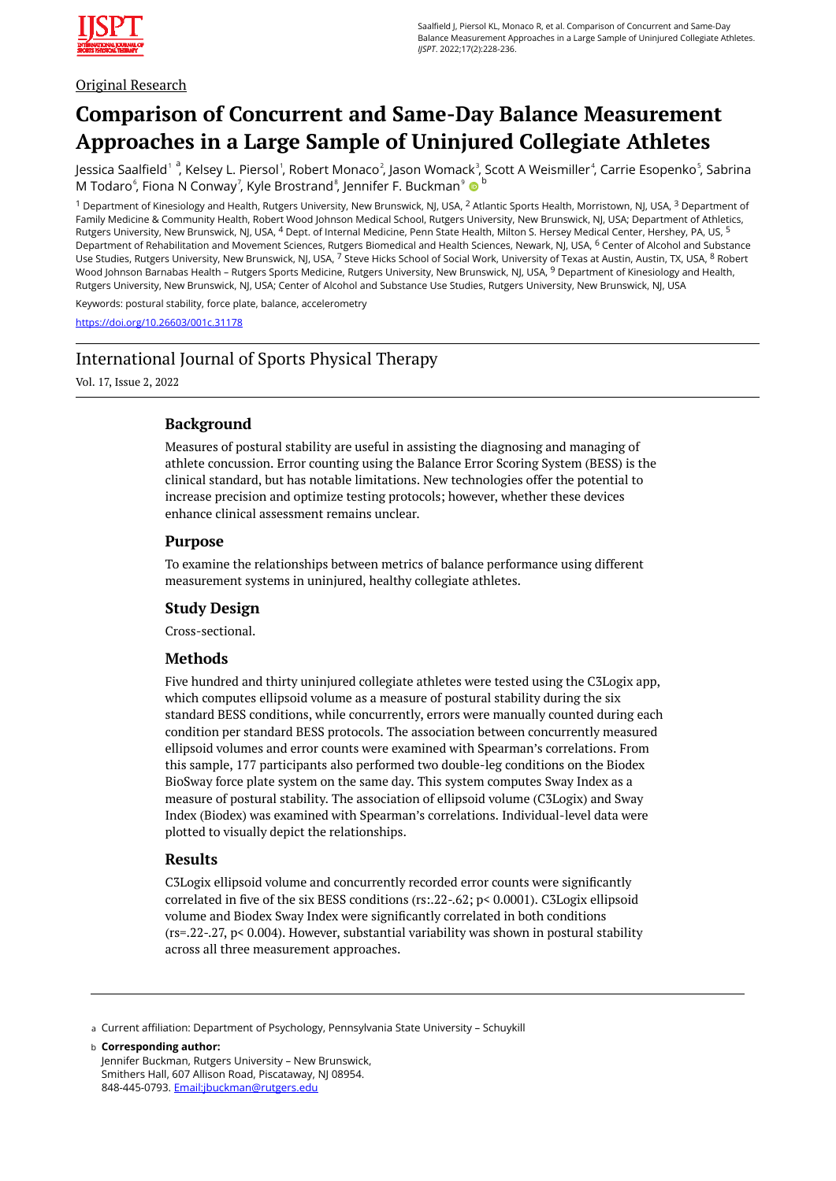

## Original Research

# **Comparison of Concurrent and Same-Day Balance Measurement Approaches in a Large Sample of Uninjured Collegiate Athletes**

Jessica Saalfield' <sup>a</sup>, Kelsey L. Piersol<sup>'</sup>, Robert Monaco<sup>2</sup>, Jason Womack<sup>3</sup>, Scott A Weismiller<sup>4</sup>, Carrie Esopenko<sup>s</sup>, Sabrina M Todaro $^{\circ}$ , Fiona N Conway<sup>7</sup>, Kyle Brostrand $^{\circ}$ , Jennifer F. Buckman $^{\circ}$   $\bullet$   $^{\circ}$ 

<sup>1</sup> Department of Kinesiology and Health, Rutgers University, New Brunswick, NJ, USA, <sup>2</sup> Atlantic Sports Health, Morristown, NJ, USA, <sup>3</sup> Department of Family Medicine & Community Health, Robert Wood Johnson Medical School, Rutgers University, New Brunswick, NJ, USA; Department of Athletics, Rutgers University, New Brunswick, NJ, USA, <sup>4</sup> Dept. of Internal Medicine, Penn State Health, Milton S. Hersey Medical Center, Hershey, PA, US, <sup>5</sup> Department of Rehabilitation and Movement Sciences, Rutgers Biomedical and Health Sciences, Newark, NJ, USA, <sup>6</sup> Center of Alcohol and Substance Use Studies, Rutgers University, New Brunswick, NJ, USA, <sup>7</sup> Steve Hicks School of Social Work, University of Texas at Austin, Austin, TX, USA, <sup>8</sup> Robert Wood Johnson Barnabas Health – Rutgers Sports Medicine, Rutgers University, New Brunswick, NJ, USA, <sup>9</sup> Department of Kinesiology and Health, Rutgers University, New Brunswick, NJ, USA; Center of Alcohol and Substance Use Studies, Rutgers University, New Brunswick, NJ, USA

Keywords: postural stability, force plate, balance, accelerometry

<https://doi.org/10.26603/001c.31178>

## International Journal of Sports Physical Therapy

Vol. 17, Issue 2, 2022

## **Background**

Measures of postural stability are useful in assisting the diagnosing and managing of athlete concussion. Error counting using the Balance Error Scoring System (BESS) is the clinical standard, but has notable limitations. New technologies offer the potential to increase precision and optimize testing protocols; however, whether these devices enhance clinical assessment remains unclear.

## **Purpose**

To examine the relationships between metrics of balance performance using different measurement systems in uninjured, healthy collegiate athletes.

## **Study Design**

Cross-sectional.

## **Methods**

Five hundred and thirty uninjured collegiate athletes were tested using the C3Logix app, which computes ellipsoid volume as a measure of postural stability during the six standard BESS conditions, while concurrently, errors were manually counted during each condition per standard BESS protocols. The association between concurrently measured ellipsoid volumes and error counts were examined with Spearman's correlations. From this sample, 177 participants also performed two double-leg conditions on the Biodex BioSway force plate system on the same day. This system computes Sway Index as a measure of postural stability. The association of ellipsoid volume (C3Logix) and Sway Index (Biodex) was examined with Spearman's correlations. Individual-level data were plotted to visually depict the relationships.

## **Results**

C3Logix ellipsoid volume and concurrently recorded error counts were significantly correlated in five of the six BESS conditions (rs:.22-.62; p< 0.0001). C3Logix ellipsoid volume and Biodex Sway Index were significantly correlated in both conditions  $(rs=0.22-0.27, p<0.004)$ . However, substantial variability was shown in postural stability across all three measurement approaches.

a Current affiliation: Department of Psychology, Pennsylvania State University - Schuykill

**Corresponding author:**  b Jennifer Buckman, Rutgers University – New Brunswick,

Smithers Hall, 607 Allison Road, Piscataway, NJ 08954. 848-445-0793. [Email:jbuckman@rutgers.edu](mailto:Email:jbuckman@rutgers.edu)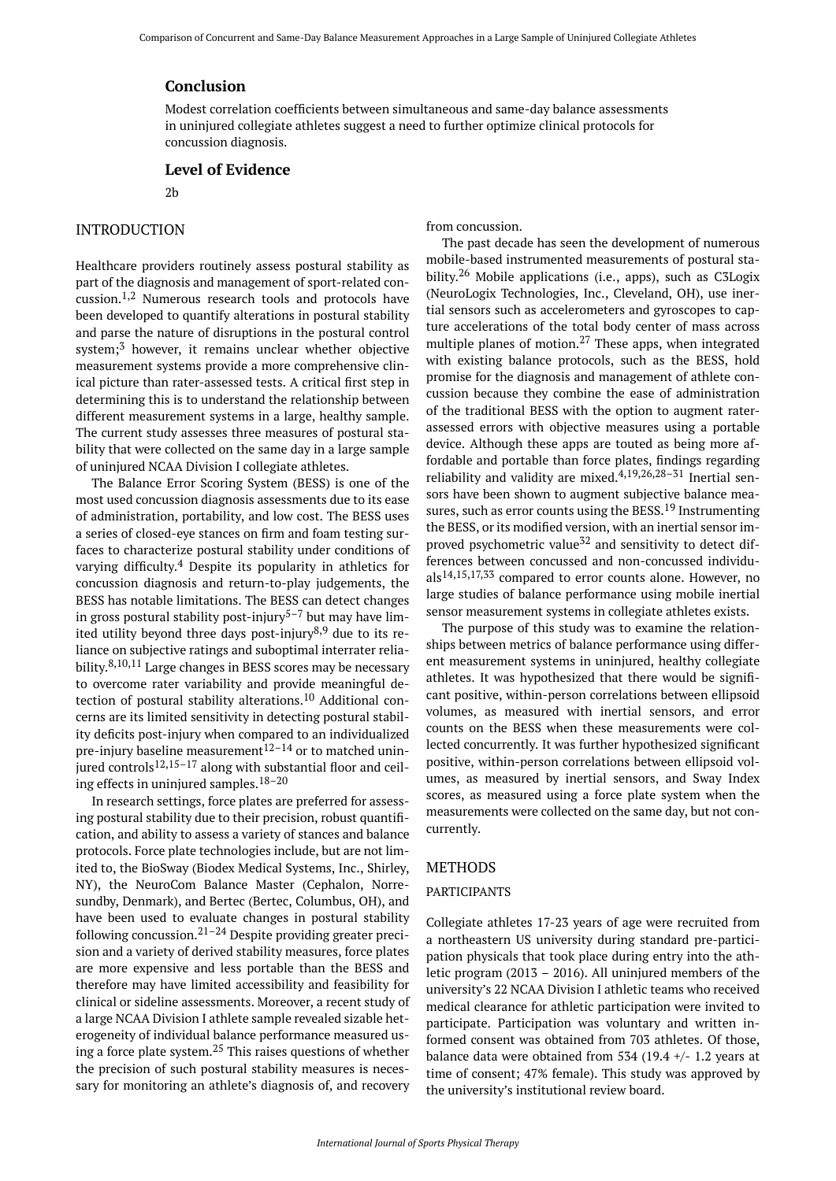#### **Conclusion**

Modest correlation coefficients between simultaneous and same-day balance assessments in uninjured collegiate athletes suggest a need to further optimize clinical protocols for concussion diagnosis.

#### **Level of Evidence**

#### 2b

## INTRODUCTION

Healthcare providers routinely assess postural stability as part of the diagnosis and management of sport-related concussion.1,2 Numerous research tools and protocols have been developed to quantify alterations in postural stability and parse the nature of disruptions in the postural control system; $3$  however, it remains unclear whether objective measurement systems provide a more comprehensive clinical picture than rater-assessed tests. A critical first step in determining this is to understand the relationship between different measurement systems in a large, healthy sample. The current study assesses three measures of postural stability that were collected on the same day in a large sample of uninjured NCAA Division I collegiate athletes.

The Balance Error Scoring System (BESS) is one of the most used concussion diagnosis assessments due to its ease of administration, portability, and low cost. The BESS uses a series of closed-eye stances on firm and foam testing surfaces to characterize postural stability under conditions of varying difficulty. <sup>4</sup> Despite its popularity in athletics for concussion diagnosis and return-to-play judgements, the BESS has notable limitations. The BESS can detect changes in gross postural stability post-injury 5–7 but may have limited utility beyond three days post-injury<sup>8,9</sup> due to its reliance on subjective ratings and suboptimal interrater reliability.<sup>8,10,11</sup> Large changes in BESS scores may be necessary to overcome rater variability and provide meaningful detection of postural stability alterations.<sup>10</sup> Additional concerns are its limited sensitivity in detecting postural stability deficits post-injury when compared to an individualized pre-injury baseline measurement<sup>12–14</sup> or to matched uninjured controls<sup>12,15–17</sup> along with substantial floor and ceiling effects in uninjured samples.18–20

In research settings, force plates are preferred for assessing postural stability due to their precision, robust quantification, and ability to assess a variety of stances and balance protocols. Force plate technologies include, but are not limited to, the BioSway (Biodex Medical Systems, Inc., Shirley, NY), the NeuroCom Balance Master (Cephalon, Norresundby, Denmark), and Bertec (Bertec, Columbus, OH), and have been used to evaluate changes in postural stability following concussion. $21-24$  Despite providing greater precision and a variety of derived stability measures, force plates are more expensive and less portable than the BESS and therefore may have limited accessibility and feasibility for clinical or sideline assessments. Moreover, a recent study of a large NCAA Division I athlete sample revealed sizable heterogeneity of individual balance performance measured using a force plate system. $25$  This raises questions of whether the precision of such postural stability measures is necessary for monitoring an athlete's diagnosis of, and recovery

from concussion.

The past decade has seen the development of numerous mobile-based instrumented measurements of postural stability.<sup>26</sup> Mobile applications (i.e., apps), such as C3Logix (NeuroLogix Technologies, Inc., Cleveland, OH), use inertial sensors such as accelerometers and gyroscopes to capture accelerations of the total body center of mass across multiple planes of motion. $27$  These apps, when integrated with existing balance protocols, such as the BESS, hold promise for the diagnosis and management of athlete concussion because they combine the ease of administration of the traditional BESS with the option to augment raterassessed errors with objective measures using a portable device. Although these apps are touted as being more affordable and portable than force plates, findings regarding reliability and validity are mixed.<sup>4,19,26,28-31</sup> Inertial sensors have been shown to augment subjective balance measures, such as error counts using the BESS.<sup>19</sup> Instrumenting the BESS, or its modified version, with an inertial sensor improved psychometric value<sup>32</sup> and sensitivity to detect differences between concussed and non-concussed individuals14,15,17,33 compared to error counts alone. However, no large studies of balance performance using mobile inertial sensor measurement systems in collegiate athletes exists.

The purpose of this study was to examine the relationships between metrics of balance performance using different measurement systems in uninjured, healthy collegiate athletes. It was hypothesized that there would be significant positive, within-person correlations between ellipsoid volumes, as measured with inertial sensors, and error counts on the BESS when these measurements were collected concurrently. It was further hypothesized significant positive, within-person correlations between ellipsoid volumes, as measured by inertial sensors, and Sway Index scores, as measured using a force plate system when the measurements were collected on the same day, but not concurrently.

#### METHODS

#### PARTICIPANTS

Collegiate athletes 17-23 years of age were recruited from a northeastern US university during standard pre-participation physicals that took place during entry into the athletic program (2013 – 2016). All uninjured members of the university's 22 NCAA Division I athletic teams who received medical clearance for athletic participation were invited to participate. Participation was voluntary and written informed consent was obtained from 703 athletes. Of those, balance data were obtained from 534 (19.4  $+/-$  1.2 years at time of consent; 47% female). This study was approved by the university's institutional review board.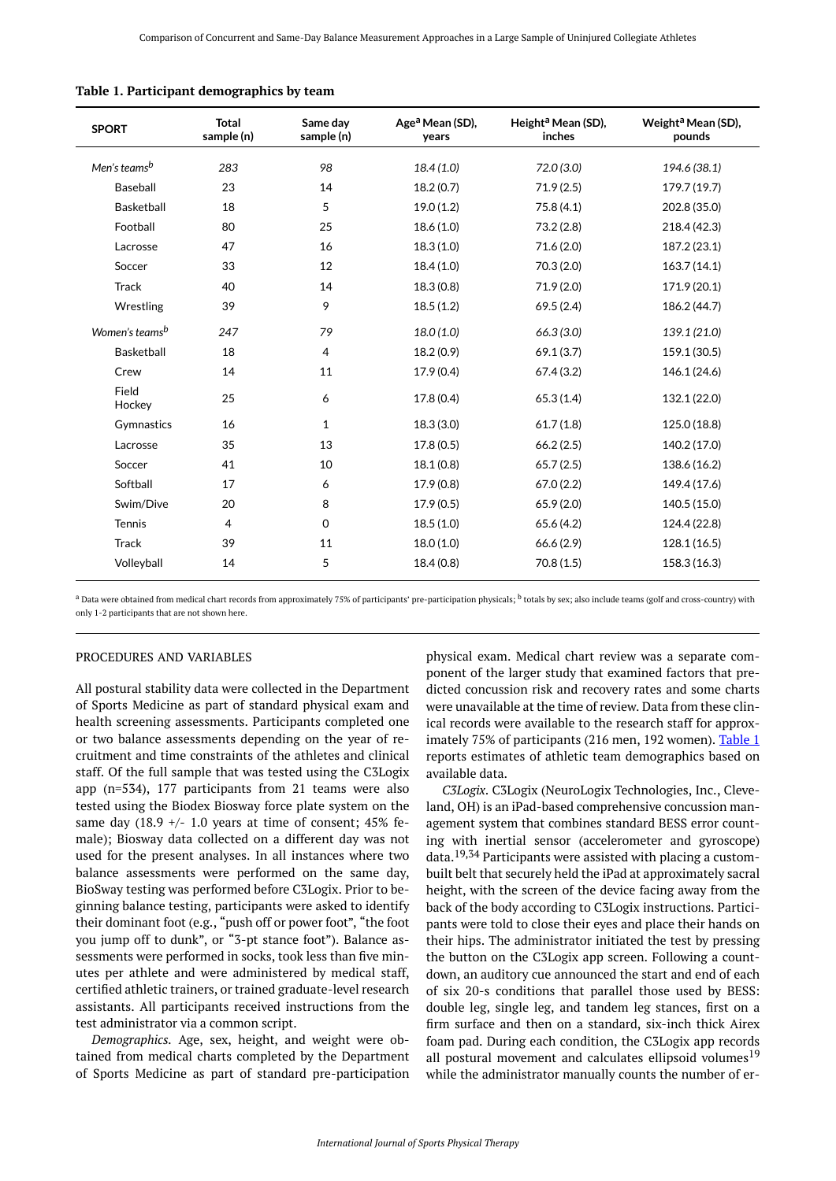| <b>SPORT</b>               | <b>Total</b><br>sample (n) | Same day<br>sample (n) | Age <sup>a</sup> Mean (SD),<br>years | Height <sup>a</sup> Mean (SD),<br>inches | Weight <sup>a</sup> Mean (SD),<br>pounds |
|----------------------------|----------------------------|------------------------|--------------------------------------|------------------------------------------|------------------------------------------|
| Men's teams <sup>b</sup>   | 283                        | 98                     | 18.4(1.0)                            | 72.0(3.0)                                | 194.6 (38.1)                             |
| Baseball                   | 23                         | 14                     | 18.2(0.7)                            | 71.9(2.5)                                | 179.7 (19.7)                             |
| Basketball                 | 18                         | 5                      | 19.0(1.2)                            | 75.8(4.1)                                | 202.8 (35.0)                             |
| Football                   | 80                         | 25                     | 18.6(1.0)                            | 73.2(2.8)                                | 218.4 (42.3)                             |
| Lacrosse                   | 47                         | 16                     | 18.3(1.0)                            | 71.6(2.0)                                | 187.2 (23.1)                             |
| Soccer                     | 33                         | 12                     | 18.4(1.0)                            | 70.3(2.0)                                | 163.7(14.1)                              |
| <b>Track</b>               | 40                         | 14                     | 18.3(0.8)                            | 71.9(2.0)                                | 171.9 (20.1)                             |
| Wrestling                  | 39                         | 9                      | 18.5(1.2)                            | 69.5(2.4)                                | 186.2 (44.7)                             |
| Women's teams <sup>b</sup> | 247                        | 79                     | 18.0(1.0)                            | 66.3(3.0)                                | 139.1 (21.0)                             |
| Basketball                 | 18                         | $\overline{4}$         | 18.2(0.9)                            | 69.1(3.7)                                | 159.1 (30.5)                             |
| Crew                       | 14                         | 11                     | 17.9(0.4)                            | 67.4(3.2)                                | 146.1 (24.6)                             |
| Field<br>Hockey            | 25                         | 6                      | 17.8(0.4)                            | 65.3(1.4)                                | 132.1 (22.0)                             |
| Gymnastics                 | 16                         | $\mathbf 1$            | 18.3(3.0)                            | 61.7(1.8)                                | 125.0 (18.8)                             |
| Lacrosse                   | 35                         | 13                     | 17.8(0.5)                            | 66.2(2.5)                                | 140.2 (17.0)                             |
| Soccer                     | 41                         | 10                     | 18.1(0.8)                            | 65.7(2.5)                                | 138.6 (16.2)                             |
| Softball                   | 17                         | 6                      | 17.9(0.8)                            | 67.0(2.2)                                | 149.4 (17.6)                             |
| Swim/Dive                  | 20                         | 8                      | 17.9(0.5)                            | 65.9 (2.0)                               | 140.5 (15.0)                             |
| Tennis                     | 4                          | $\mathbf 0$            | 18.5(1.0)                            | 65.6(4.2)                                | 124.4 (22.8)                             |
| <b>Track</b>               | 39                         | 11                     | 18.0(1.0)                            | 66.6(2.9)                                | 128.1 (16.5)                             |
| Volleyball                 | 14                         | 5                      | 18.4(0.8)                            | 70.8(1.5)                                | 158.3 (16.3)                             |

<span id="page-2-0"></span>

|  |  |  |  | Table 1. Participant demographics by team |  |  |
|--|--|--|--|-------------------------------------------|--|--|
|--|--|--|--|-------------------------------------------|--|--|

<sup>a</sup> Data were obtained from medical chart records from approximately 75% of participants' pre-participation physicals; <sup>b</sup> totals by sex; also include teams (golf and cross-country) with only 1-2 participants that are not shown here.

#### PROCEDURES AND VARIABLES

All postural stability data were collected in the Department of Sports Medicine as part of standard physical exam and health screening assessments. Participants completed one or two balance assessments depending on the year of recruitment and time constraints of the athletes and clinical staff. Of the full sample that was tested using the C3Logix app (n=534), 177 participants from 21 teams were also tested using the Biodex Biosway force plate system on the same day (18.9  $+/-$  1.0 years at time of consent; 45% female); Biosway data collected on a different day was not used for the present analyses. In all instances where two balance assessments were performed on the same day, BioSway testing was performed before C3Logix. Prior to beginning balance testing, participants were asked to identify their dominant foot (e.g., "push off or power foot", "the foot you jump off to dunk", or "3-pt stance foot"). Balance assessments were performed in socks, took less than five minutes per athlete and were administered by medical staff, certified athletic trainers, or trained graduate-level research assistants. All participants received instructions from the test administrator via a common script.

*Demographics.* Age, sex, height, and weight were obtained from medical charts completed by the Department of Sports Medicine as part of standard pre-participation physical exam. Medical chart review was a separate component of the larger study that examined factors that predicted concussion risk and recovery rates and some charts were unavailable at the time of review. Data from these clinical records were available to the research staff for approx-imately 75% of participants (216 men, 192 women). [Table 1](#page-2-0) reports estimates of athletic team demographics based on available data.

*C3Logix*. C3Logix (NeuroLogix Technologies, Inc., Cleveland, OH) is an iPad-based comprehensive concussion management system that combines standard BESS error counting with inertial sensor (accelerometer and gyroscope) data.19,34 Participants were assisted with placing a custombuilt belt that securely held the iPad at approximately sacral height, with the screen of the device facing away from the back of the body according to C3Logix instructions. Participants were told to close their eyes and place their hands on their hips. The administrator initiated the test by pressing the button on the C3Logix app screen. Following a countdown, an auditory cue announced the start and end of each of six 20-s conditions that parallel those used by BESS: double leg, single leg, and tandem leg stances, first on a firm surface and then on a standard, six-inch thick Airex foam pad. During each condition, the C3Logix app records all postural movement and calculates ellipsoid volumes<sup>19</sup> while the administrator manually counts the number of er-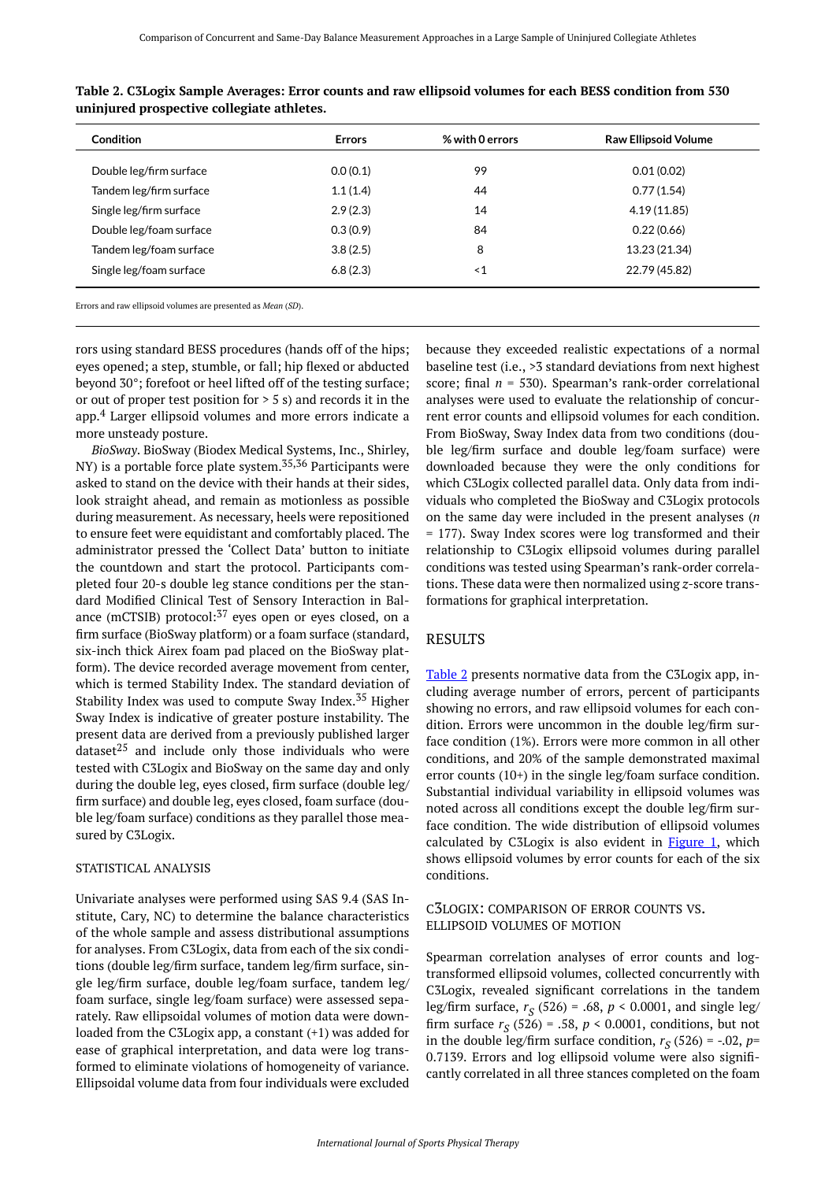| Condition               | <b>Errors</b> | % with 0 errors | <b>Raw Ellipsoid Volume</b> |
|-------------------------|---------------|-----------------|-----------------------------|
| Double leg/firm surface | 0.0(0.1)      | 99              | 0.01(0.02)                  |
| Tandem leg/firm surface | 1.1(1.4)      | 44              | 0.77(1.54)                  |
| Single leg/firm surface | 2.9(2.3)      | 14              | 4.19(11.85)                 |
| Double leg/foam surface | 0.3(0.9)      | 84              | 0.22(0.66)                  |
| Tandem leg/foam surface | 3.8(2.5)      | 8               | 13.23 (21.34)               |
| Single leg/foam surface | 6.8(2.3)      | $\leq 1$        | 22.79 (45.82)               |
|                         |               |                 |                             |

<span id="page-3-0"></span>**Table 2. C3Logix Sample Averages: Error counts and raw ellipsoid volumes for each BESS condition from 530 uninjured prospective collegiate athletes.** 

Errors and raw ellipsoid volumes are presented as *Mean* (*SD*).

rors using standard BESS procedures (hands off of the hips; eyes opened; a step, stumble, or fall; hip flexed or abducted beyond 30°; forefoot or heel lifted off of the testing surface; or out of proper test position for  $> 5$  s) and records it in the app.<sup>4</sup> Larger ellipsoid volumes and more errors indicate a more unsteady posture.

*BioSway*. BioSway (Biodex Medical Systems, Inc., Shirley, NY) is a portable force plate system.<sup>35,36</sup> Participants were asked to stand on the device with their hands at their sides, look straight ahead, and remain as motionless as possible during measurement. As necessary, heels were repositioned to ensure feet were equidistant and comfortably placed. The administrator pressed the 'Collect Data' button to initiate the countdown and start the protocol. Participants completed four 20-s double leg stance conditions per the standard Modified Clinical Test of Sensory Interaction in Balance (mCTSIB) protocol: $37$  eyes open or eyes closed, on a firm surface (BioSway platform) or a foam surface (standard, six-inch thick Airex foam pad placed on the BioSway platform). The device recorded average movement from center, which is termed Stability Index. The standard deviation of Stability Index was used to compute Sway Index.<sup>35</sup> Higher Sway Index is indicative of greater posture instability. The present data are derived from a previously published larger dataset<sup>25</sup> and include only those individuals who were tested with C3Logix and BioSway on the same day and only during the double leg, eyes closed, firm surface (double leg/ firm surface) and double leg, eyes closed, foam surface (double leg/foam surface) conditions as they parallel those measured by C3Logix.

#### STATISTICAL ANALYSIS

Univariate analyses were performed using SAS 9.4 (SAS Institute, Cary, NC) to determine the balance characteristics of the whole sample and assess distributional assumptions for analyses. From C3Logix, data from each of the six conditions (double leg/firm surface, tandem leg/firm surface, single leg/firm surface, double leg/foam surface, tandem leg/ foam surface, single leg/foam surface) were assessed separately. Raw ellipsoidal volumes of motion data were downloaded from the C3Logix app, a constant (+1) was added for ease of graphical interpretation, and data were log transformed to eliminate violations of homogeneity of variance. Ellipsoidal volume data from four individuals were excluded

because they exceeded realistic expectations of a normal baseline test (i.e., >3 standard deviations from next highest score; final *n* = 530). Spearman's rank-order correlational analyses were used to evaluate the relationship of concurrent error counts and ellipsoid volumes for each condition. From BioSway, Sway Index data from two conditions (double leg/firm surface and double leg/foam surface) were downloaded because they were the only conditions for which C3Logix collected parallel data. Only data from individuals who completed the BioSway and C3Logix protocols on the same day were included in the present analyses (*n*  = 177). Sway Index scores were log transformed and their relationship to C3Logix ellipsoid volumes during parallel conditions was tested using Spearman's rank-order correlations. These data were then normalized using *z*-score transformations for graphical interpretation.

## RESULTS

[Table 2](#page-3-0) presents normative data from the C3Logix app, including average number of errors, percent of participants showing no errors, and raw ellipsoid volumes for each condition. Errors were uncommon in the double leg/firm surface condition (1%). Errors were more common in all other conditions, and 20% of the sample demonstrated maximal error counts (10+) in the single leg/foam surface condition. Substantial individual variability in ellipsoid volumes was noted across all conditions except the double leg/firm surface condition. The wide distribution of ellipsoid volumes calculated by C3Logix is also evident in [Figure 1,](#page-4-0) which shows ellipsoid volumes by error counts for each of the six conditions.

#### C3LOGIX: COMPARISON OF ERROR COUNTS VS. ELLIPSOID VOLUMES OF MOTION

Spearman correlation analyses of error counts and logtransformed ellipsoid volumes, collected concurrently with C3Logix, revealed significant correlations in the tandem leg/firm surface, *r S* (526) = .68, *p* < 0.0001, and single leg/ firm surface  $r_S(526) = .58$ ,  $p < 0.0001$ , conditions, but not in the double leg/firm surface condition,  $r_S$  (526) = -.02,  $p=$ 0.7139. Errors and log ellipsoid volume were also significantly correlated in all three stances completed on the foam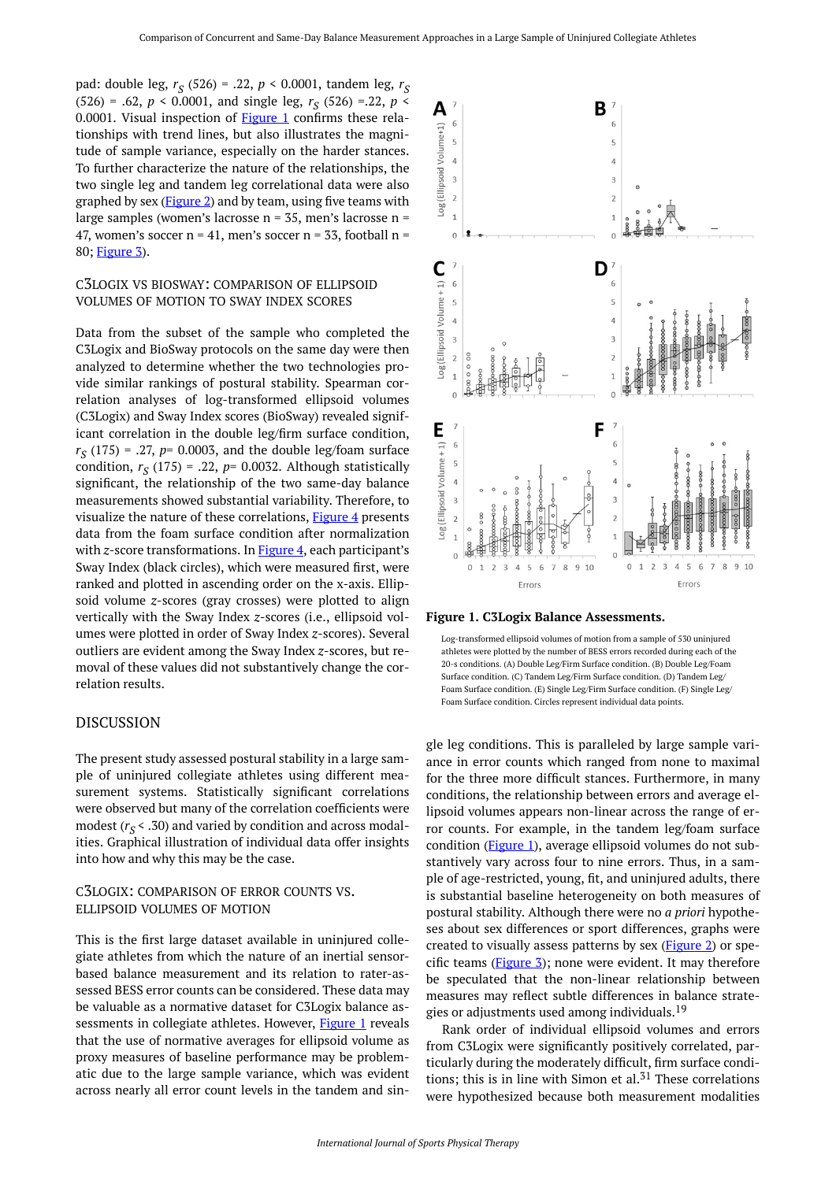<span id="page-4-0"></span>pad: double leg, *r S* (526) = .22, *p* < 0.0001, tandem leg, *r S*   $(526) = .62, p < 0.0001,$  and single leg,  $r_S$  (526) = 22,  $p <$ 0.0001. Visual inspection of [Figure 1](#page-4-0) confirms these relationships with trend lines, but also illustrates the magnitude of sample variance, especially on the harder stances. To further characterize the nature of the relationships, the two single leg and tandem leg correlational data were also graphed by sex  $(Figure 2)$  $(Figure 2)$  and by team, using five teams with large samples (women's lacrosse n = 35, men's lacrosse n = 47, women's soccer  $n = 41$ , men's soccer  $n = 33$ , football  $n =$ 80; [Figure 3](#page-5-1)).

## C3LOGIX VS BIOSWAY: COMPARISON OF ELLIPSOID VOLUMES OF MOTION TO SWAY INDEX SCORES

Data from the subset of the sample who completed the C3Logix and BioSway protocols on the same day were then analyzed to determine whether the two technologies provide similar rankings of postural stability. Spearman correlation analyses of log-transformed ellipsoid volumes (C3Logix) and Sway Index scores (BioSway) revealed significant correlation in the double leg/firm surface condition, *r S* (175) = .27, *p*= 0.0003, and the double leg/foam surface condition,  $r_S(175) = .22$ ,  $p = 0.0032$ . Although statistically significant, the relationship of the two same-day balance measurements showed substantial variability. Therefore, to visualize the nature of these correlations, [Figure 4](#page-6-0) presents data from the foam surface condition after normalization with *z*-score transformations. In [Figure 4](#page-6-0), each participant's Sway Index (black circles), which were measured first, were ranked and plotted in ascending order on the x-axis. Ellipsoid volume *z*-scores (gray crosses) were plotted to align vertically with the Sway Index *z*-scores (i.e., ellipsoid volumes were plotted in order of Sway Index *z*-scores). Several outliers are evident among the Sway Index *z*-scores, but removal of these values did not substantively change the correlation results.

#### DISCUSSION

The present study assessed postural stability in a large sample of uninjured collegiate athletes using different measurement systems. Statistically significant correlations were observed but many of the correlation coefficients were modest  $(r_S < .30)$  and varied by condition and across modalities. Graphical illustration of individual data offer insights into how and why this may be the case.

#### C3LOGIX: COMPARISON OF ERROR COUNTS VS. ELLIPSOID VOLUMES OF MOTION

This is the first large dataset available in uninjured collegiate athletes from which the nature of an inertial sensorbased balance measurement and its relation to rater-assessed BESS error counts can be considered. These data may be valuable as a normative dataset for C3Logix balance as-sessments in collegiate athletes. However, [Figure 1](#page-4-0) reveals that the use of normative averages for ellipsoid volume as proxy measures of baseline performance may be problematic due to the large sample variance, which was evident across nearly all error count levels in the tandem and sin-



**Figure 1. C3Logix Balance Assessments.** 



gle leg conditions. This is paralleled by large sample variance in error counts which ranged from none to maximal for the three more difficult stances. Furthermore, in many conditions, the relationship between errors and average ellipsoid volumes appears non-linear across the range of error counts. For example, in the tandem leg/foam surface condition ([Figure 1\)](78481D), average ellipsoid volumes do not substantively vary across four to nine errors. Thus, in a sample of age-restricted, young, fit, and uninjured adults, there is substantial baseline heterogeneity on both measures of postural stability. Although there were no *a priori* hypotheses about sex differences or sport differences, graphs were created to visually assess patterns by sex (**Figure 2**) or specific teams  $(Figure 3)$  $(Figure 3)$ ; none were evident. It may therefore be speculated that the non-linear relationship between measures may reflect subtle differences in balance strategies or adjustments used among individuals.<sup>19</sup>

Rank order of individual ellipsoid volumes and errors from C3Logix were significantly positively correlated, particularly during the moderately difficult, firm surface conditions; this is in line with Simon et al. $51$  These correlations were hypothesized because both measurement modalities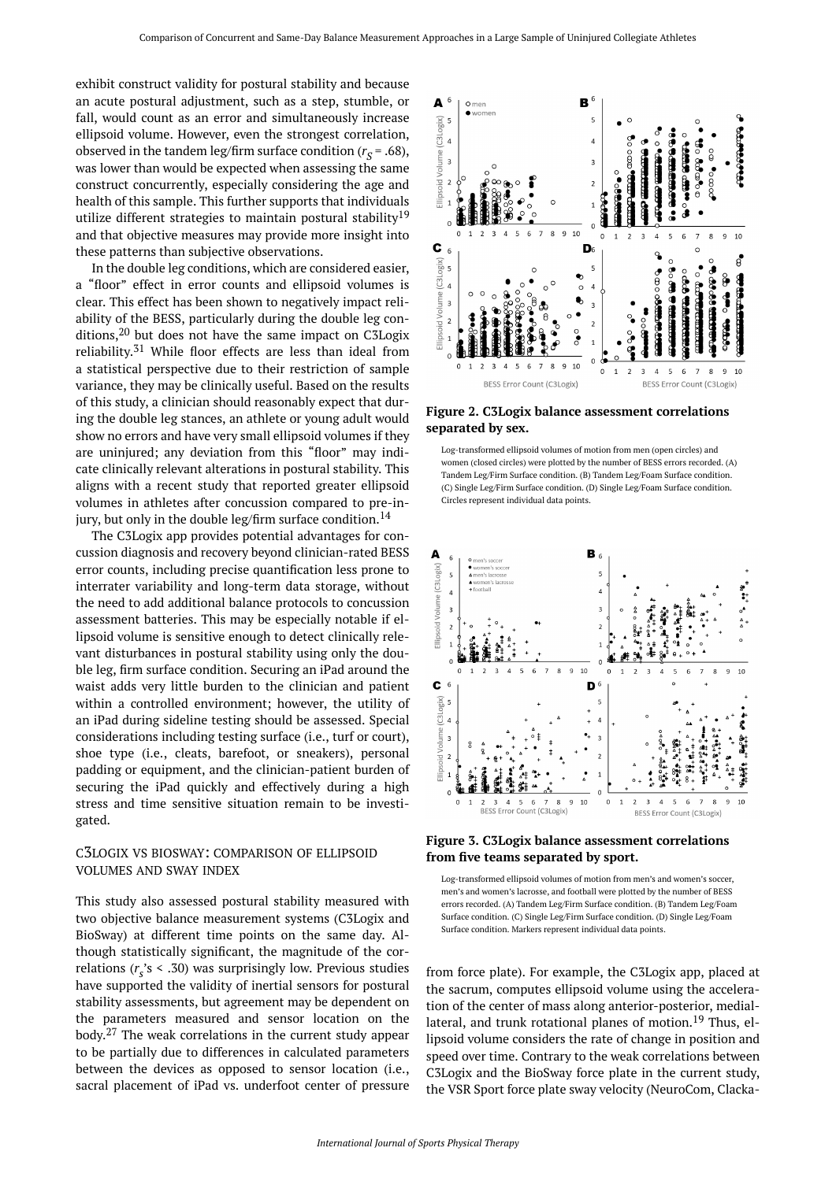<span id="page-5-0"></span>exhibit construct validity for postural stability and because an acute postural adjustment, such as a step, stumble, or fall, would count as an error and simultaneously increase ellipsoid volume. However, even the strongest correlation, observed in the tandem leg/firm surface condition ( $r_S$  = .68), was lower than would be expected when assessing the same construct concurrently, especially considering the age and health of this sample. This further supports that individuals utilize different strategies to maintain postural stability<sup>19</sup> and that objective measures may provide more insight into these patterns than subjective observations.

In the double leg conditions, which are considered easier, a "floor" effect in error counts and ellipsoid volumes is clear. This effect has been shown to negatively impact reliability of the BESS, particularly during the double leg conditions, $20$  but does not have the same impact on C3Logix reliability.<sup>31</sup> While floor effects are less than ideal from a statistical perspective due to their restriction of sample variance, they may be clinically useful. Based on the results of this study, a clinician should reasonably expect that during the double leg stances, an athlete or young adult would show no errors and have very small ellipsoid volumes if they are uninjured; any deviation from this "floor" may indicate clinically relevant alterations in postural stability. This aligns with a recent study that reported greater ellipsoid volumes in athletes after concussion compared to pre-injury, but only in the double leg/firm surface condition.<sup>14</sup>

<span id="page-5-1"></span>The C3Logix app provides potential advantages for concussion diagnosis and recovery beyond clinician-rated BESS error counts, including precise quantification less prone to interrater variability and long-term data storage, without the need to add additional balance protocols to concussion assessment batteries. This may be especially notable if ellipsoid volume is sensitive enough to detect clinically relevant disturbances in postural stability using only the double leg, firm surface condition. Securing an iPad around the waist adds very little burden to the clinician and patient within a controlled environment; however, the utility of an iPad during sideline testing should be assessed. Special considerations including testing surface (i.e., turf or court), shoe type (i.e., cleats, barefoot, or sneakers), personal padding or equipment, and the clinician-patient burden of securing the iPad quickly and effectively during a high stress and time sensitive situation remain to be investigated.

#### C3LOGIX VS BIOSWAY: COMPARISON OF ELLIPSOID VOLUMES AND SWAY INDEX

This study also assessed postural stability measured with two objective balance measurement systems (C3Logix and BioSway) at different time points on the same day. Although statistically significant, the magnitude of the correlations  $(r_s's < .30)$  was surprisingly low. Previous studies have supported the validity of inertial sensors for postural stability assessments, but agreement may be dependent on the parameters measured and sensor location on the body. <sup>27</sup> The weak correlations in the current study appear to be partially due to differences in calculated parameters between the devices as opposed to sensor location (i.e., sacral placement of iPad vs. underfoot center of pressure



**Figure 2. C3Logix balance assessment correlations separated by sex.** 

Log-transformed ellipsoid volumes of motion from men (open circles) and women (closed circles) were plotted by the number of BESS errors recorded. (A) Tandem Leg/Firm Surface condition. (B) Tandem Leg/Foam Surface condition. (C) Single Leg/Firm Surface condition. (D) Single Leg/Foam Surface condition. Circles represent individual data points.







from force plate). For example, the C3Logix app, placed at the sacrum, computes ellipsoid volume using the acceleration of the center of mass along anterior-posterior, mediallateral, and trunk rotational planes of motion.<sup>19</sup> Thus, ellipsoid volume considers the rate of change in position and speed over time. Contrary to the weak correlations between C3Logix and the BioSway force plate in the current study, the VSR Sport force plate sway velocity (NeuroCom, Clacka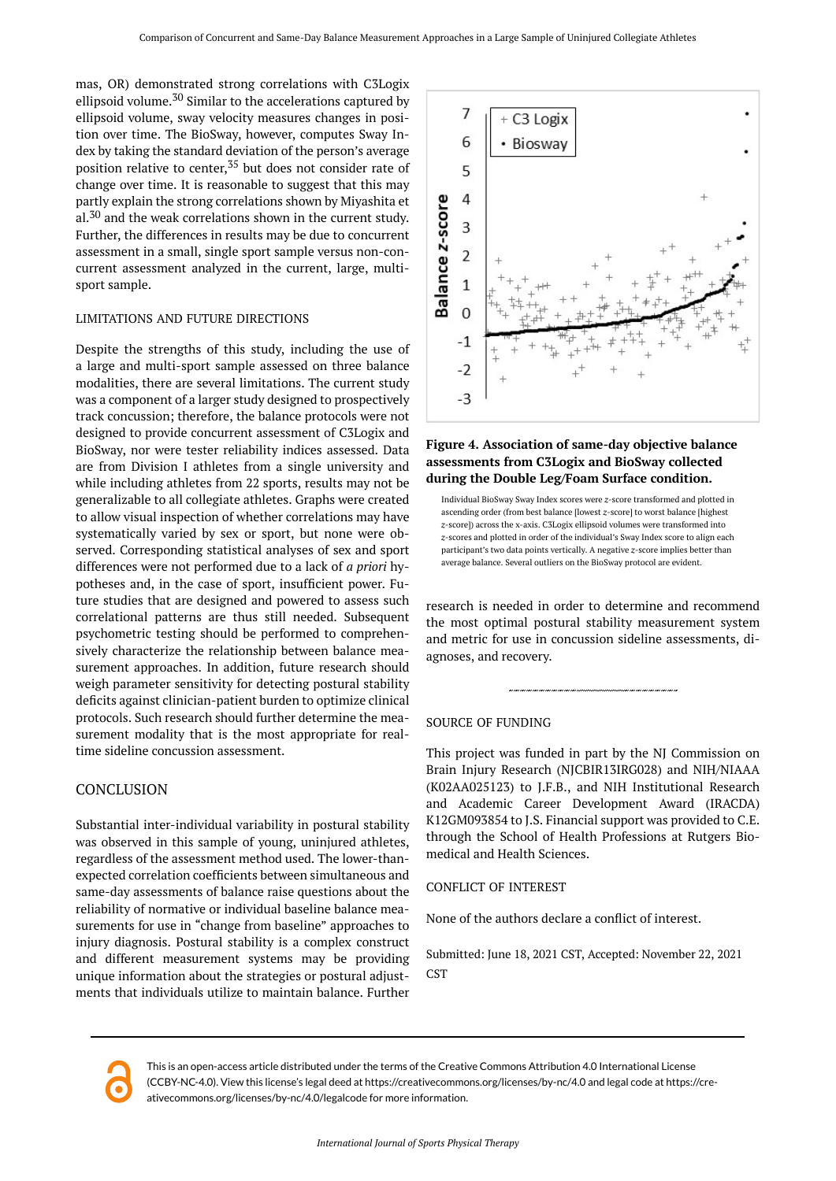<span id="page-6-0"></span>mas, OR) demonstrated strong correlations with C3Logix ellipsoid volume.<sup>30</sup> Similar to the accelerations captured by ellipsoid volume, sway velocity measures changes in position over time. The BioSway, however, computes Sway Index by taking the standard deviation of the person's average position relative to center,<sup>35</sup> but does not consider rate of change over time. It is reasonable to suggest that this may partly explain the strong correlations shown by Miyashita et al.<sup>30</sup> and the weak correlations shown in the current study. Further, the differences in results may be due to concurrent assessment in a small, single sport sample versus non-concurrent assessment analyzed in the current, large, multisport sample.

#### LIMITATIONS AND FUTURE DIRECTIONS

Despite the strengths of this study, including the use of a large and multi-sport sample assessed on three balance modalities, there are several limitations. The current study was a component of a larger study designed to prospectively track concussion; therefore, the balance protocols were not designed to provide concurrent assessment of C3Logix and BioSway, nor were tester reliability indices assessed. Data are from Division I athletes from a single university and while including athletes from 22 sports, results may not be generalizable to all collegiate athletes. Graphs were created to allow visual inspection of whether correlations may have systematically varied by sex or sport, but none were observed. Corresponding statistical analyses of sex and sport differences were not performed due to a lack of *a priori* hypotheses and, in the case of sport, insufficient power. Future studies that are designed and powered to assess such correlational patterns are thus still needed. Subsequent psychometric testing should be performed to comprehensively characterize the relationship between balance measurement approaches. In addition, future research should weigh parameter sensitivity for detecting postural stability deficits against clinician-patient burden to optimize clinical protocols. Such research should further determine the measurement modality that is the most appropriate for realtime sideline concussion assessment.

## **CONCLUSION**

Substantial inter-individual variability in postural stability was observed in this sample of young, uninjured athletes, regardless of the assessment method used. The lower-thanexpected correlation coefficients between simultaneous and same-day assessments of balance raise questions about the reliability of normative or individual baseline balance measurements for use in "change from baseline" approaches to injury diagnosis. Postural stability is a complex construct and different measurement systems may be providing unique information about the strategies or postural adjustments that individuals utilize to maintain balance. Further



#### **Figure 4. Association of same-day objective balance assessments from C3Logix and BioSway collected during the Double Leg/Foam Surface condition.**



research is needed in order to determine and recommend the most optimal postural stability measurement system and metric for use in concussion sideline assessments, diagnoses, and recovery.

#### SOURCE OF FUNDING

This project was funded in part by the NJ Commission on Brain Injury Research (NJCBIR13IRG028) and NIH/NIAAA (K02AA025123) to J.F.B., and NIH Institutional Research and Academic Career Development Award (IRACDA) K12GM093854 to J.S. Financial support was provided to C.E. through the School of Health Professions at Rutgers Biomedical and Health Sciences.

#### CONFLICT OF INTEREST

None of the authors declare a conflict of interest.

Submitted: June 18, 2021 CST, Accepted: November 22, 2021 CST

This is an open-access article distributed under the terms of the Creative Commons Attribution 4.0 International License (CCBY-NC-4.0). View this license's legal deed at https://creativecommons.org/licenses/by-nc/4.0 and legal code at https://creativecommons.org/licenses/by-nc/4.0/legalcode for more information.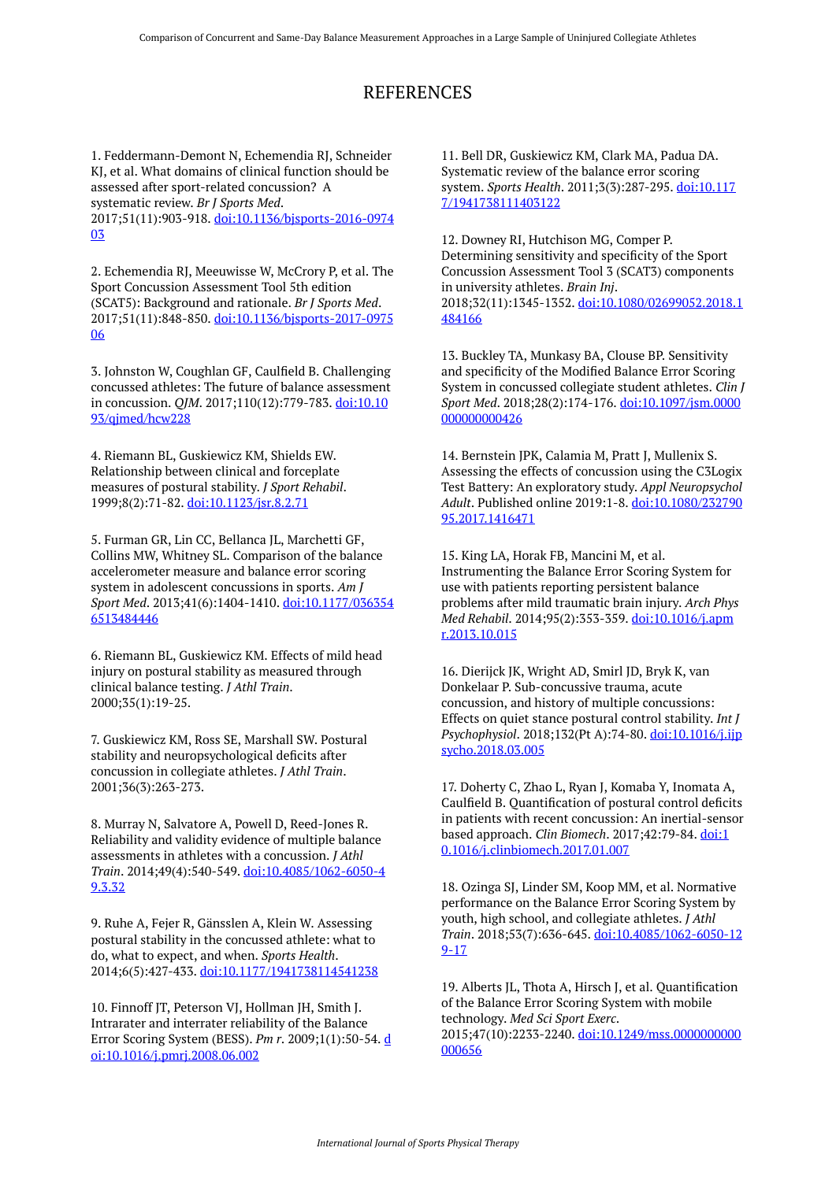## REFERENCES

1. Feddermann-Demont N, Echemendia RJ, Schneider KJ, et al. What domains of clinical function should be assessed after sport-related concussion? A systematic review. *Br J Sports Med*. 2017;51(11):903-918. [doi:10.1136/bjsports-2016-0974](https://doi.org/10.1136/bjsports-2016-097403) [03](https://doi.org/10.1136/bjsports-2016-097403)

2. Echemendia RJ, Meeuwisse W, McCrory P, et al. The Sport Concussion Assessment Tool 5th edition (SCAT5): Background and rationale. *Br J Sports Med*. 2017;51(11):848-850. [doi:10.1136/bjsports-2017-0975](https://doi.org/10.1136/bjsports-2017-097506) [06](https://doi.org/10.1136/bjsports-2017-097506)

3. Johnston W, Coughlan GF, Caulfield B. Challenging concussed athletes: The future of balance assessment in concussion. *QJM*. 2017;110(12):779-783. [doi:10.10](https://doi.org/10.1093/qjmed/hcw228) [93/qjmed/hcw228](https://doi.org/10.1093/qjmed/hcw228) 

4. Riemann BL, Guskiewicz KM, Shields EW. Relationship between clinical and forceplate measures of postural stability. *J Sport Rehabil*. 1999;8(2):71-82. [doi:10.1123/jsr.8.2.71](https://doi.org/10.1123/jsr.8.2.71) 

5. Furman GR, Lin CC, Bellanca JL, Marchetti GF, Collins MW, Whitney SL. Comparison of the balance accelerometer measure and balance error scoring system in adolescent concussions in sports. *Am J Sport Med*. 2013;41(6):1404-1410. [doi:10.1177/036354](https://doi.org/10.1177/0363546513484446) [6513484446](https://doi.org/10.1177/0363546513484446) 

6. Riemann BL, Guskiewicz KM. Effects of mild head injury on postural stability as measured through clinical balance testing. *J Athl Train*. 2000;35(1):19-25.

7. Guskiewicz KM, Ross SE, Marshall SW. Postural stability and neuropsychological deficits after concussion in collegiate athletes. *J Athl Train*. 2001;36(3):263-273.

8. Murray N, Salvatore A, Powell D, Reed-Jones R. Reliability and validity evidence of multiple balance assessments in athletes with a concussion. *J Athl Train*. 2014;49(4):540-549. [doi:10.4085/1062-6050-4](https://doi.org/10.4085/1062-6050-49.3.32) [9.3.32](https://doi.org/10.4085/1062-6050-49.3.32)

9. Ruhe A, Fejer R, Gänsslen A, Klein W. Assessing postural stability in the concussed athlete: what to do, what to expect, and when. *Sports Health*. 2014;6(5):427-433. [doi:10.1177/1941738114541238](https://doi.org/10.1177/1941738114541238)

10. Finnoff JT, Peterson VJ, Hollman JH, Smith J. Intrarater and interrater reliability of the Balance Error Scoring System (BESS). *Pm r*. 2009;1(1):50-54. [d](https://doi.org/10.1016/j.pmrj.2008.06.002) [oi:10.1016/j.pmrj.2008.06.002](https://doi.org/10.1016/j.pmrj.2008.06.002) 

11. Bell DR, Guskiewicz KM, Clark MA, Padua DA. Systematic review of the balance error scoring system. *Sports Health*. 2011;3(3):287-295. [doi:10.117](https://doi.org/10.1177/1941738111403122) [7/1941738111403122](https://doi.org/10.1177/1941738111403122)

12. Downey RI, Hutchison MG, Comper P. Determining sensitivity and specificity of the Sport Concussion Assessment Tool 3 (SCAT3) components in university athletes. *Brain Inj*. 2018;32(11):1345-1352. [doi:10.1080/02699052.2018.1](https://doi.org/10.1080/02699052.2018.1484166) [484166](https://doi.org/10.1080/02699052.2018.1484166)

13. Buckley TA, Munkasy BA, Clouse BP. Sensitivity and specificity of the Modified Balance Error Scoring System in concussed collegiate student athletes. *Clin J Sport Med*. 2018;28(2):174-176. [doi:10.1097/jsm.0000](https://doi.org/10.1097/jsm.0000000000000426) [000000000426](https://doi.org/10.1097/jsm.0000000000000426)

14. Bernstein JPK, Calamia M, Pratt J, Mullenix S. Assessing the effects of concussion using the C3Logix Test Battery: An exploratory study. *Appl Neuropsychol Adult*. Published online 2019:1-8. [doi:10.1080/232790](https://doi.org/10.1080/23279095.2017.1416471) [95.2017.1416471](https://doi.org/10.1080/23279095.2017.1416471) 

15. King LA, Horak FB, Mancini M, et al. Instrumenting the Balance Error Scoring System for use with patients reporting persistent balance problems after mild traumatic brain injury. *Arch Phys Med Rehabil*. 2014;95(2):353-359. [doi:10.1016/j.apm](https://doi.org/10.1016/j.apmr.2013.10.015) [r.2013.10.015](https://doi.org/10.1016/j.apmr.2013.10.015)

16. Dierijck JK, Wright AD, Smirl JD, Bryk K, van Donkelaar P. Sub-concussive trauma, acute concussion, and history of multiple concussions: Effects on quiet stance postural control stability. *Int J Psychophysiol*. 2018;132(Pt A):74-80. [doi:10.1016/j.ijp](https://doi.org/10.1016/j.ijpsycho.2018.03.005) [sycho.2018.03.005](https://doi.org/10.1016/j.ijpsycho.2018.03.005) 

17. Doherty C, Zhao L, Ryan J, Komaba Y, Inomata A, Caulfield B. Quantification of postural control deficits in patients with recent concussion: An inertial-sensor based approach. *Clin Biomech*. 2017;42:79-84. [doi:1](https://doi.org/10.1016/j.clinbiomech.2017.01.007) [0.1016/j.clinbiomech.2017.01.007](https://doi.org/10.1016/j.clinbiomech.2017.01.007)

18. Ozinga SJ, Linder SM, Koop MM, et al. Normative performance on the Balance Error Scoring System by youth, high school, and collegiate athletes. *J Athl Train*. 2018;53(7):636-645. [doi:10.4085/1062-6050-12](https://doi.org/10.4085/1062-6050-129-17) [9-17](https://doi.org/10.4085/1062-6050-129-17) 

19. Alberts JL, Thota A, Hirsch J, et al. Quantification of the Balance Error Scoring System with mobile technology. *Med Sci Sport Exerc*. 2015;47(10):2233-2240. [doi:10.1249/mss.0000000000](https://doi.org/10.1249/mss.0000000000000656) [000656](https://doi.org/10.1249/mss.0000000000000656)